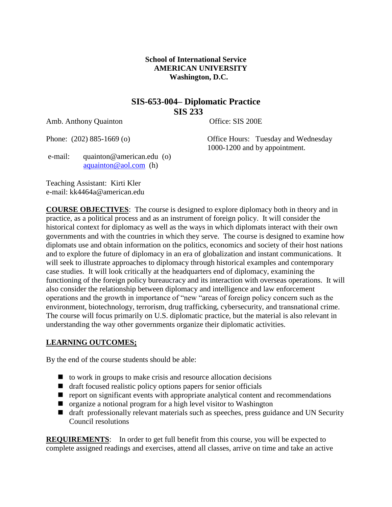### **School of International Service AMERICAN UNIVERSITY Washington, D.C.**

# **SIS-653-004– Diplomatic Practice SIS 233**

Amb. Anthony Quainton Office: SIS 200E

Phone: (202) 885-1669 (o) Office Hours: Tuesday and Wednesday 1000-1200 and by appointment.

e-mail: quainton@american.edu (o) [aquainton@aol.com](mailto:aquainton@aol.com) (h)

Teaching Assistant: Kirti Kler e-mail: kk4464a@american.edu

**COURSE OBJECTIVES**: The course is designed to explore diplomacy both in theory and in practice, as a political process and as an instrument of foreign policy. It will consider the historical context for diplomacy as well as the ways in which diplomats interact with their own governments and with the countries in which they serve. The course is designed to examine how diplomats use and obtain information on the politics, economics and society of their host nations and to explore the future of diplomacy in an era of globalization and instant communications. It will seek to illustrate approaches to diplomacy through historical examples and contemporary case studies. It will look critically at the headquarters end of diplomacy, examining the functioning of the foreign policy bureaucracy and its interaction with overseas operations. It will also consider the relationship between diplomacy and intelligence and law enforcement operations and the growth in importance of "new "areas of foreign policy concern such as the environment, biotechnology, terrorism, drug trafficking, cybersecurity, and transnational crime. The course will focus primarily on U.S. diplomatic practice, but the material is also relevant in understanding the way other governments organize their diplomatic activities.

### **LEARNING OUTCOMES;**

By the end of the course students should be able:

- $\Box$  to work in groups to make crisis and resource allocation decisions
- $\blacksquare$  draft focused realistic policy options papers for senior officials
- $\blacksquare$  report on significant events with appropriate analytical content and recommendations
- organize a notional program for a high level visitor to Washington
- draft professionally relevant materials such as speeches, press guidance and UN Security Council resolutions

**REQUIREMENTS:** In order to get full benefit from this course, you will be expected to complete assigned readings and exercises, attend all classes, arrive on time and take an active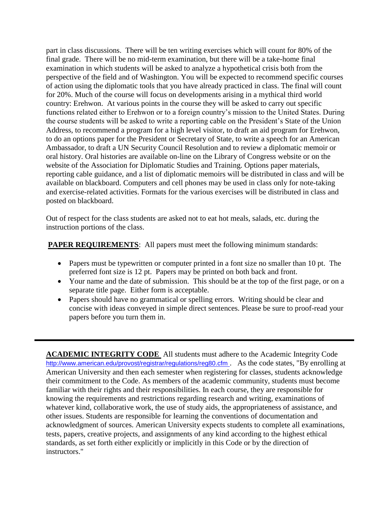part in class discussions. There will be ten writing exercises which will count for 80% of the final grade. There will be no mid-term examination, but there will be a take-home final examination in which students will be asked to analyze a hypothetical crisis both from the perspective of the field and of Washington. You will be expected to recommend specific courses of action using the diplomatic tools that you have already practiced in class. The final will count for 20%. Much of the course will focus on developments arising in a mythical third world country: Erehwon. At various points in the course they will be asked to carry out specific functions related either to Erehwon or to a foreign country's mission to the United States. During the course students will be asked to write a reporting cable on the President's State of the Union Address, to recommend a program for a high level visitor, to draft an aid program for Erehwon, to do an options paper for the President or Secretary of State, to write a speech for an American Ambassador, to draft a UN Security Council Resolution and to review a diplomatic memoir or oral history. Oral histories are available on-line on the Library of Congress website or on the website of the Association for Diplomatic Studies and Training. Options paper materials, reporting cable guidance, and a list of diplomatic memoirs will be distributed in class and will be available on blackboard. Computers and cell phones may be used in class only for note-taking and exercise-related activities. Formats for the various exercises will be distributed in class and posted on blackboard.

Out of respect for the class students are asked not to eat hot meals, salads, etc. during the instruction portions of the class.

**PAPER REQUIREMENTS:** All papers must meet the following minimum standards:

- Papers must be typewritten or computer printed in a font size no smaller than 10 pt. The preferred font size is 12 pt. Papers may be printed on both back and front.
- Your name and the date of submission. This should be at the top of the first page, or on a separate title page. Either form is acceptable.
- Papers should have no grammatical or spelling errors. Writing should be clear and concise with ideas conveyed in simple direct sentences. Please be sure to proof-read your papers before you turn them in.

**ACADEMIC INTEGRITY CODE** All students must adhere to the Academic Integrity Code <http://www.american.edu/provost/registrar/regulations/reg80.cfm>. As the code states, "By enrolling at American University and then each semester when registering for classes, students acknowledge their commitment to the Code. As members of the academic community, students must become familiar with their rights and their responsibilities. In each course, they are responsible for knowing the requirements and restrictions regarding research and writing, examinations of whatever kind, collaborative work, the use of study aids, the appropriateness of assistance, and other issues. Students are responsible for learning the conventions of documentation and acknowledgment of sources. American University expects students to complete all examinations, tests, papers, creative projects, and assignments of any kind according to the highest ethical standards, as set forth either explicitly or implicitly in this Code or by the direction of instructors."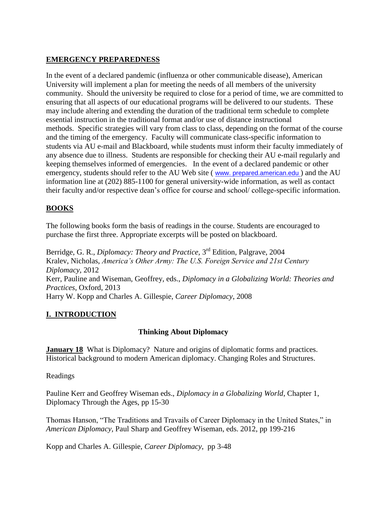# **EMERGENCY PREPAREDNESS**

In the event of a declared pandemic (influenza or other communicable disease), American University will implement a plan for meeting the needs of all members of the university community. Should the university be required to close for a period of time, we are committed to ensuring that all aspects of our educational programs will be delivered to our students. These may include altering and extending the duration of the traditional term schedule to complete essential instruction in the traditional format and/or use of distance instructional methods. Specific strategies will vary from class to class, depending on the format of the course and the timing of the emergency. Faculty will communicate class-specific information to students via AU e-mail and Blackboard, while students must inform their faculty immediately of any absence due to illness. Students are responsible for checking their AU e-mail regularly and keeping themselves informed of emergencies. In the event of a declared pandemic or other emergency, students should refer to the AU Web site ( [www. prepared.american.edu](http://www.american.edu/) ) and the AU information line at (202) 885-1100 for general university-wide information, as well as contact their faculty and/or respective dean's office for course and school/ college-specific information.

## **BOOKS**

The following books form the basis of readings in the course. Students are encouraged to purchase the first three. Appropriate excerpts will be posted on blackboard.

Berridge, G. R., *Diplomacy: Theory and Practice*, 3<sup>rd</sup> Edition, Palgrave, 2004 Kralev, Nicholas, *America's Other Army: The U.S. Foreign Service and 21st Century Diplomacy,* 2012 Kerr, Pauline and Wiseman, Geoffrey, eds., *Diplomacy in a Globalizing World: Theories and Practices*, Oxford, 2013 Harry W. Kopp and Charles A. Gillespie, *Career Diplomacy*, 2008

# **I. INTRODUCTION**

### **Thinking About Diplomacy**

**January 18** What is Diplomacy? Nature and origins of diplomatic forms and practices. Historical background to modern American diplomacy. Changing Roles and Structures.

Readings

Pauline Kerr and Geoffrey Wiseman eds., *Diplomacy in a Globalizing World*, Chapter 1, Diplomacy Through the Ages, pp 15-30

Thomas Hanson, "The Traditions and Travails of Career Diplomacy in the United States," in *American Diplomacy,* Paul Sharp and Geoffrey Wiseman, eds. 2012, pp 199-216

Kopp and Charles A. Gillespie, *Career Diplomacy*, pp 3-48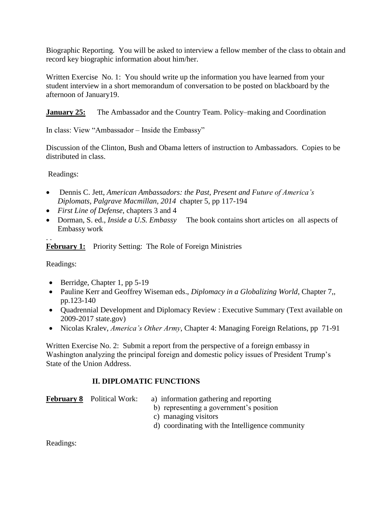Biographic Reporting. You will be asked to interview a fellow member of the class to obtain and record key biographic information about him/her.

Written Exercise No. 1: You should write up the information you have learned from your student interview in a short memorandum of conversation to be posted on blackboard by the afternoon of January19.

**January 25:** The Ambassador and the Country Team. Policy–making and Coordination

In class: View "Ambassador – Inside the Embassy"

Discussion of the Clinton, Bush and Obama letters of instruction to Ambassadors. Copies to be distributed in class.

Readings:

- Dennis C. Jett, *American Ambassadors: the Past, Present and Future of America's Diplomats, Palgrave Macmillan, 2014* chapter 5, pp 117-194
- *First Line of Defense*, chapters 3 and 4
- Dorman, S. ed., *Inside a U.S. Embassy* The book contains short articles on all aspects of Embassy work

. . **February 1:** Priority Setting: The Role of Foreign Ministries

Readings:

- $\bullet$  Berridge, Chapter 1, pp 5-19
- Pauline Kerr and Geoffrey Wiseman eds., *Diplomacy in a Globalizing World*, Chapter 7,, pp.123-140
- Quadrennial Development and Diplomacy Review : Executive Summary (Text available on 2009-2017 state.gov)
- Nicolas Kralev, *America's Other Army*, Chapter 4: Managing Foreign Relations, pp 71-91

Written Exercise No. 2: Submit a report from the perspective of a foreign embassy in Washington analyzing the principal foreign and domestic policy issues of President Trump's State of the Union Address.

# **II. DIPLOMATIC FUNCTIONS**

**February 8** Political Work: a) information gathering and reporting

- b) representing a government's position
- c) managing visitors
- d) coordinating with the Intelligence community

Readings: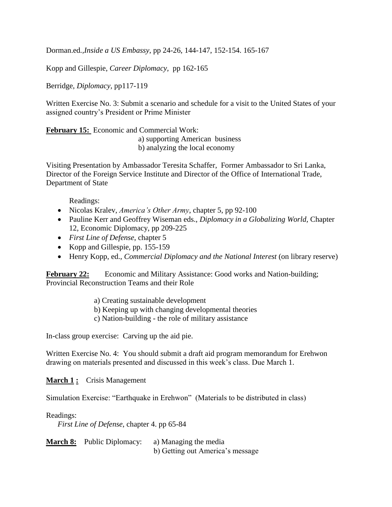Dorman.ed*.,Inside a US Embassy*, pp 24-26, 144-147, 152-154. 165-167

Kopp and Gillespie, *Career Diplomacy,* pp 162-165

Berridge, *Diplomacy,* pp117-119

Written Exercise No. 3: Submit a scenario and schedule for a visit to the United States of your assigned country's President or Prime Minister

**February 15:** Economic and Commercial Work:

 a) supporting American business b) analyzing the local economy

Visiting Presentation by Ambassador Teresita Schaffer, Former Ambassador to Sri Lanka, Director of the Foreign Service Institute and Director of the Office of International Trade, Department of State

Readings:

- Nicolas Kralev, *America's Other Army*, chapter 5, pp 92-100
- Pauline Kerr and Geoffrey Wiseman eds., *Diplomacy in a Globalizing World,* Chapter 12, Economic Diplomacy, pp 209-225
- *First Line of Defense*, chapter 5
- Kopp and Gillespie, pp. 155-159
- Henry Kopp, ed., *Commercial Diplomacy and the National Interest* (on library reserve)

**February 22:** Economic and Military Assistance: Good works and Nation-building; Provincial Reconstruction Teams and their Role

- a) Creating sustainable development
- b) Keeping up with changing developmental theories
- c) Nation-building the role of military assistance

In-class group exercise: Carving up the aid pie.

Written Exercise No. 4: You should submit a draft aid program memorandum for Erehwon drawing on materials presented and discussed in this week's class. Due March 1.

**March 1 :** Crisis Management

Simulation Exercise: "Earthquake in Erehwon" (Materials to be distributed in class)

Readings:

*First Line of Defense*, chapter 4. pp 65-84

**March 8:** Public Diplomacy: a) Managing the media b) Getting out America's message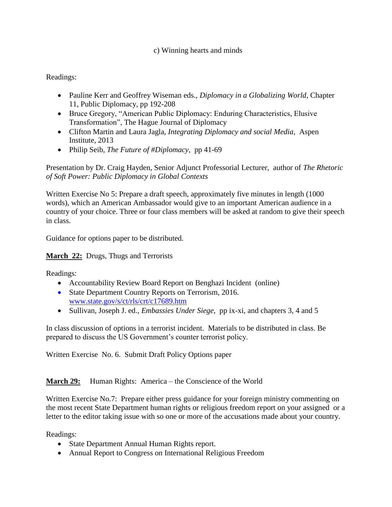### c) Winning hearts and minds

### Readings:

- Pauline Kerr and Geoffrey Wiseman eds., *Diplomacy in a Globalizing World*, Chapter 11, Public Diplomacy, pp 192-208
- Bruce Gregory, "American Public Diplomacy: Enduring Characteristics, Elusive Transformation", The Hague Journal of Diplomacy
- Clifton Martin and Laura Jagla, *Integrating Diplomacy and social Media*, Aspen Institute, 2013
- Philip Seib, *The Future of #Diplomacy*, pp 41-69

### Presentation by Dr. Craig Hayden, Senior Adjunct Professorial Lecturer, author of *The Rhetoric of Soft Power: Public Diplomacy in Global Contexts*

Written Exercise No 5: Prepare a draft speech, approximately five minutes in length (1000 words), which an American Ambassador would give to an important American audience in a country of your choice. Three or four class members will be asked at random to give their speech in class.

Guidance for options paper to be distributed.

### **March 22:** Drugs, Thugs and Terrorists

Readings:

- Accountability Review Board Report on Benghazi Incident (online)
- State Department Country Reports on Terrorism, 2016. [www.state.gov/s/ct/rls/crt/c17689.htm](http://www.state.gov/s/ct/rls/crt/c17689.htm)
- Sullivan, Joseph J. ed., *Embassies Under Siege*, pp ix-xi, and chapters 3, 4 and 5

In class discussion of options in a terrorist incident. Materials to be distributed in class. Be prepared to discuss the US Government's counter terrorist policy.

Written Exercise No. 6. Submit Draft Policy Options paper

### **March 29:** Human Rights: America – the Conscience of the World

Written Exercise No.7: Prepare either press guidance for your foreign ministry commenting on the most recent State Department human rights or religious freedom report on your assigned or a letter to the editor taking issue with so one or more of the accusations made about your country.

Readings:

- State Department Annual Human Rights report.
- Annual Report to Congress on International Religious Freedom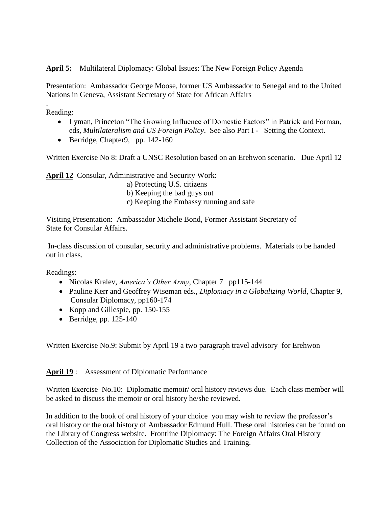**April 5:** Multilateral Diplomacy: Global Issues: The New Foreign Policy Agenda

Presentation: Ambassador George Moose, former US Ambassador to Senegal and to the United Nations in Geneva, Assistant Secretary of State for African Affairs

. Reading:

- Lyman, Princeton "The Growing Influence of Domestic Factors" in Patrick and Forman, eds, *Multilateralism and US Foreign Policy*. See also Part I - Setting the Context.
- Berridge, Chapter 9, pp.  $142-160$

Written Exercise No 8: Draft a UNSC Resolution based on an Erehwon scenario. Due April 12

**April 12** Consular, Administrative and Security Work:

- a) Protecting U.S. citizens
- b) Keeping the bad guys out
- c) Keeping the Embassy running and safe

Visiting Presentation: Ambassador Michele Bond, Former Assistant Secretary of State for Consular Affairs.

In-class discussion of consular, security and administrative problems. Materials to be handed out in class.

Readings:

- Nicolas Kralev, *America's Other Army*, Chapter 7 pp115-144
- Pauline Kerr and Geoffrey Wiseman eds., *Diplomacy in a Globalizing World*, Chapter 9, Consular Diplomacy, pp160-174
- Kopp and Gillespie, pp. 150-155
- $\bullet$  Berridge, pp. 125-140

Written Exercise No.9: Submit by April 19 a two paragraph travel advisory for Erehwon

**April 19** : Assessment of Diplomatic Performance

Written Exercise No.10: Diplomatic memoir/ oral history reviews due. Each class member will be asked to discuss the memoir or oral history he/she reviewed.

In addition to the book of oral history of your choice you may wish to review the professor's oral history or the oral history of Ambassador Edmund Hull. These oral histories can be found on the Library of Congress website. Frontline Diplomacy: The Foreign Affairs Oral History Collection of the Association for Diplomatic Studies and Training.